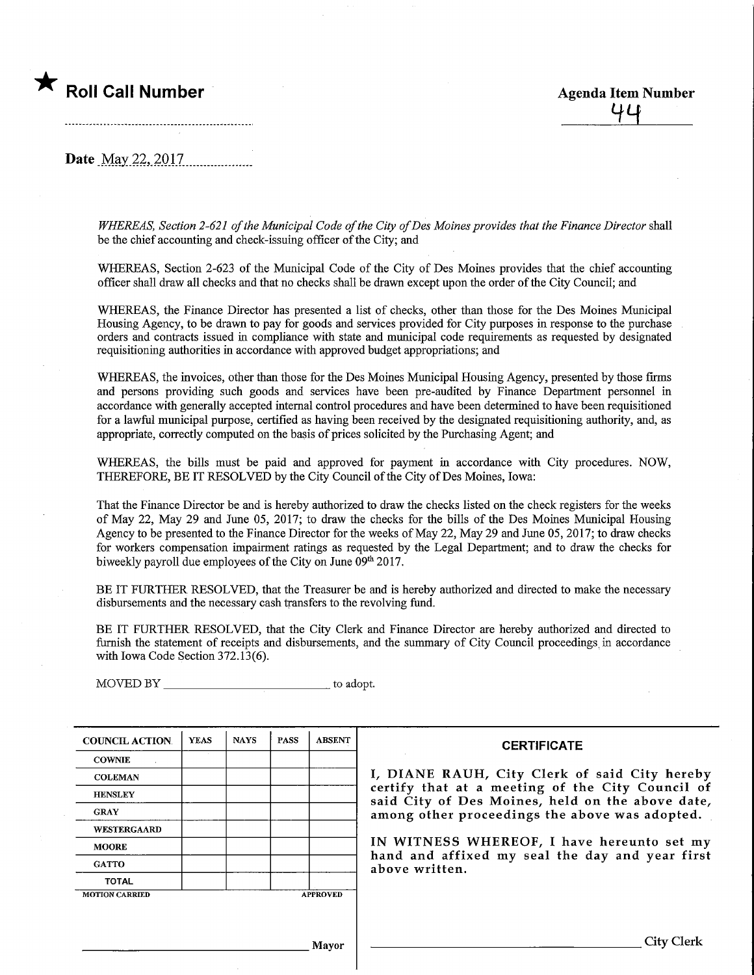## **The Roll Call Number Agenda Item Number** Agenda Item Number

**Date** May 22, 2017.

WHEREAS, Section 2-621 of the Municipal Code of the City of Des Moines provides that the Finance Director shall be the chief accountmg and check-issuiag officer of the City; and

WHEREAS, Section 2-623 of the Municipal Code of the City of Des Moines provides that the chief accounting officer shall draw all checks and that no checks shall be drawn except upon the order of the City Council; and

WHEREAS, the Finance Director has presented a list of checks, other than those for the Des Moines Municipal Housing Agency, to be drawn to pay for goods and services provided for City purposes in response to the purchase orders and contracts issued in compliance with state and municipal code requirements as requested by designated requisitioniag authorities in accordance with approved budget appropriations; and

WHEREAS, the invoices, other than those for the Des Moines Municipal Housing Agency, presented by those firms and persons providing such goods and services have been pre-audited by Fmance Department personnel in accordance with generally accepted internal control procedures and have been determined to have been requisitioned for a lawful municipal purpose, certified as having been received by the designated requisitioning authority, and, as appropriate, correctly computed on the basis of prices solicited by the Purchasing Agent; and

WHEREAS, the bills must be paid and approved for payment in accordance with City procedures. NOW, THEREFORE, BE IT RESOLVED by the City Council of the City of Des Moines, Iowa:

That the Finance Director be and is hereby authorized to draw the checks listed on the check registers for the weeks of May 22, May 29 and June 05, 2017; to draw the checks for the bills of the Des Moines Municipal Housing Agency to be presented to the Finance Director for the weeks of May 22, May 29 and June 05, 2017; to draw checks for workers compensation impairment ratings as requested by the Legal Department; and to draw the checks for biweekly payroll due employees of the City on June 09<sup>th</sup> 2017.

BE IT FURTHER RESOLVED, that the Treasurer be and is hereby authorized and directed to make the necessary disbursements and the necessary cash transfers to the revolving fund.

BE IT FURTHER RESOLVED, that the City Clerk and Finance Director are hereby authorized and directed to furnish the statement of receipts and disbursements, and the summary of City Council proceedings, in accordance with Iowa Code Section 372.13(6).

MOVED BY to adopt.

| <b>COUNCIL ACTION</b> | <b>YEAS</b> | <b>NAYS</b> | <b>PASS</b> | <b>ABSENT</b>   | <b>CERTIFICATE</b>                                                                                   |  |  |
|-----------------------|-------------|-------------|-------------|-----------------|------------------------------------------------------------------------------------------------------|--|--|
| <b>COWNIE</b>         |             |             |             |                 |                                                                                                      |  |  |
| <b>COLEMAN</b>        |             |             |             |                 | I, DIANE RAUH, City Clerk of said City hereby                                                        |  |  |
| <b>HENSLEY</b>        |             |             |             |                 | certify that at a meeting of the City Council of<br>said City of Des Moines, held on the above date, |  |  |
| <b>GRAY</b>           |             |             |             |                 | among other proceedings the above was adopted.                                                       |  |  |
| <b>WESTERGAARD</b>    |             |             |             |                 |                                                                                                      |  |  |
| <b>MOORE</b>          |             |             |             |                 | IN WITNESS WHEREOF, I have hereunto set my                                                           |  |  |
| <b>GATTO</b>          |             |             |             |                 | hand and affixed my seal the day and year first<br>above written.                                    |  |  |
| <b>TOTAL</b>          |             |             |             |                 |                                                                                                      |  |  |
| <b>MOTION CARRIED</b> |             |             |             | <b>APPROVED</b> |                                                                                                      |  |  |
|                       |             |             |             |                 |                                                                                                      |  |  |
|                       |             |             |             |                 |                                                                                                      |  |  |
|                       |             |             |             | Mayor           | City Clerk                                                                                           |  |  |
|                       |             |             |             |                 |                                                                                                      |  |  |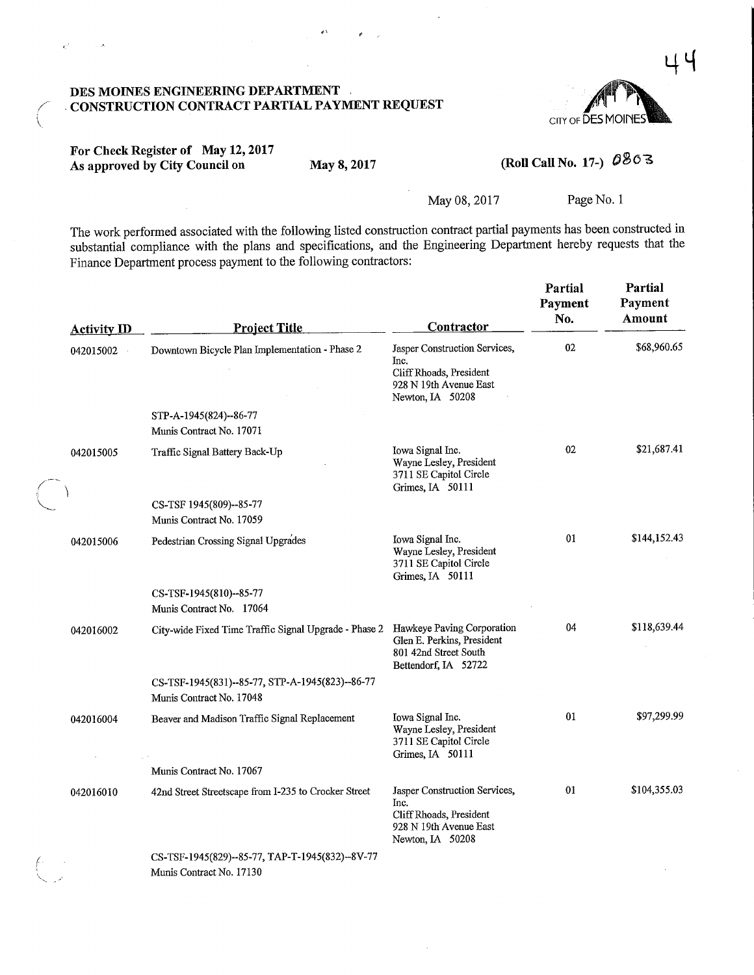

### DES MOINES ENGINEERING DEPARTMENT CONSTRUCTION CONTRACT PARTIAL PAYMENT REQUEST

### For Check Register of May 12,2017 For Check Register of May 12, 2017<br>As approved by City Council on May 8, 2017 (Roll Call No. 17-)  $0\%$

 $\mathcal{E}^{\mathcal{I}}$ 

ŧ

May 08, 2017 Page No. 1

The work performed associated with the following listed construction contract partial payments has been constructed in substantial compliance with the plans and specifications, and the Engineering Department hereby requests that the Finance Department process payment to the following contractors:

| <b>Activity ID</b> | <b>Project Title</b>                                                        | Contractor                                                                                                     | Partial<br>Payment<br>No. | Partial<br>Payment<br>Amount |
|--------------------|-----------------------------------------------------------------------------|----------------------------------------------------------------------------------------------------------------|---------------------------|------------------------------|
| 042015002          | Downtown Bicycle Plan Implementation - Phase 2                              | Jasper Construction Services,<br>Inc.<br>Cliff Rhoads, President<br>928 N 19th Avenue East<br>Newton, IA 50208 | 02                        | \$68,960.65                  |
|                    | STP-A-1945(824)--86-77<br>Munis Contract No. 17071                          |                                                                                                                |                           |                              |
| 042015005          | Traffic Signal Battery Back-Up                                              | Iowa Signal Inc.<br>Wayne Lesley, President<br>3711 SE Capitol Circle<br>Grimes, IA 50111                      | 02                        | \$21,687.41                  |
|                    | CS-TSF 1945(809)--85-77<br>Munis Contract No. 17059                         |                                                                                                                |                           |                              |
| 042015006          | Pedestrian Crossing Signal Upgrades                                         | Iowa Signal Inc.<br>Wayne Lesley, President<br>3711 SE Capitol Circle<br>Grimes, IA 50111                      | 01                        | \$144,152.43                 |
|                    | CS-TSF-1945(810)--85-77<br>Munis Contract No. 17064                         |                                                                                                                |                           |                              |
| 042016002          | City-wide Fixed Time Traffic Signal Upgrade - Phase 2                       | Hawkeye Paving Corporation<br>Glen E. Perkins, President<br>801 42nd Street South<br>Bettendorf, IA 52722      | 04                        | \$118,639.44                 |
|                    | CS-TSF-1945(831)--85-77, STP-A-1945(823)--86-77<br>Munis Contract No. 17048 |                                                                                                                |                           |                              |
| 042016004          | Beaver and Madison Traffic Signal Replacement                               | Iowa Signal Inc.<br>Wayne Lesley, President<br>3711 SE Capitol Circle<br>Grimes, IA 50111                      | 01                        | \$97,299.99                  |
|                    | Munis Contract No. 17067                                                    |                                                                                                                |                           |                              |
| 042016010          | 42nd Street Streetscape from I-235 to Crocker Street                        | Jasper Construction Services,<br>Inc.<br>Cliff Rhoads, President<br>928 N 19th Avenue East<br>Newton, IA 50208 | 01                        | \$104,355.03                 |
|                    | CS-TSF-1945(829)--85-77, TAP-T-1945(832)--8V-77<br>Munis Contract No. 17130 |                                                                                                                |                           |                              |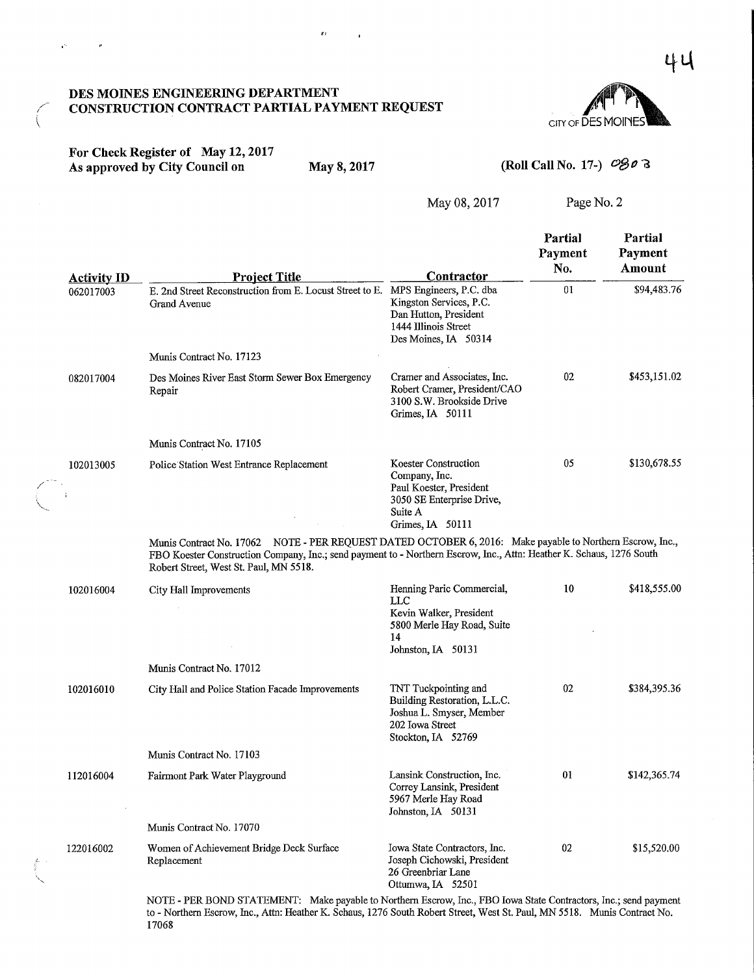### DES MOmES ENGINEERING DEPARTMENT CONSTRUCTION CONTRACT PARTIAL PAYMENT REQUEST



### For Check Register of May 12,2017 As approved by City Council on May 8, 2017 (Roll Call No. 17-)  $\mathcal{O}(\mathcal{B})$  1-3

ц.

 $\mu$ 

17068

 $\mathbf{z}$  :

May 08,2017 Page No. 2

| <b>Activity ID</b> | <b>Project Title</b>                                                                                                                                                                                                                                                        | Contractor                                                                                                                   | Partial<br>Payment<br>No. | Partial<br>Payment<br>Amount |
|--------------------|-----------------------------------------------------------------------------------------------------------------------------------------------------------------------------------------------------------------------------------------------------------------------------|------------------------------------------------------------------------------------------------------------------------------|---------------------------|------------------------------|
| 062017003          | E. 2nd Street Reconstruction from E. Locust Street to E. MPS Engineers, P.C. dba<br>Grand Avenue                                                                                                                                                                            | Kingston Services, P.C.<br>Dan Hutton, President<br>1444 Illinois Street<br>Des Moines, IA 50314                             | 01                        | \$94,483.76                  |
|                    | Munis Contract No. 17123                                                                                                                                                                                                                                                    |                                                                                                                              |                           |                              |
| 082017004          | Des Moines River East Storm Sewer Box Emergency<br>Repair                                                                                                                                                                                                                   | Cramer and Associates, Inc.<br>Robert Cramer, President/CAO<br>3100 S.W. Brookside Drive<br>Grimes, IA 50111                 | 02                        | \$453,151.02                 |
|                    | Munis Contract No. 17105                                                                                                                                                                                                                                                    |                                                                                                                              |                           |                              |
| 102013005<br>÷,    | Police Station West Entrance Replacement                                                                                                                                                                                                                                    | Koester Construction<br>Company, Inc.<br>Paul Koester, President<br>3050 SE Enterprise Drive,<br>Suite A<br>Grimes, IA 50111 | 05                        | \$130,678.55                 |
|                    | Munis Contract No. 17062 NOTE - PER REQUEST DATED OCTOBER 6, 2016: Make payable to Northern Escrow, Inc.,<br>FBO Koester Construction Company, Inc.; send payment to - Northern Escrow, Inc., Attn: Heather K. Schaus, 1276 South<br>Robert Street, West St. Paul, MN 5518. |                                                                                                                              |                           |                              |
| 102016004          | City Hall Improvements                                                                                                                                                                                                                                                      | Henning Paric Commercial,<br>LLC<br>Kevin Walker, President<br>5800 Merle Hay Road, Suite<br>14<br>Johnston, IA 50131        | 10                        | \$418,555.00                 |
|                    | Munis Contract No. 17012                                                                                                                                                                                                                                                    |                                                                                                                              |                           |                              |
| 102016010          | City Hall and Police Station Facade Improvements                                                                                                                                                                                                                            | TNT Tuckpointing and<br>Building Restoration, L.L.C.<br>Joshua L. Smyser, Member<br>202 Iowa Street<br>Stockton, IA 52769    | 02                        | \$384,395.36                 |
|                    | Munis Contract No. 17103                                                                                                                                                                                                                                                    |                                                                                                                              |                           |                              |
| 112016004          | Fairmont Park Water Playground                                                                                                                                                                                                                                              | Lansink Construction, Inc.<br>Correy Lansink, President<br>5967 Merle Hay Road<br>Johnston, IA 50131                         | 01                        | \$142,365.74                 |
|                    | Munis Contract No. 17070                                                                                                                                                                                                                                                    |                                                                                                                              |                           |                              |
| 122016002          | Women of Achievement Bridge Deck Surface<br>Replacement                                                                                                                                                                                                                     | Iowa State Contractors, Inc.<br>Joseph Cichowski, President<br>26 Greenbriar Lane<br>Ottumwa, IA 52501                       | 02                        | \$15,520.00                  |
|                    | NOTE - PER BOND STATEMENT: Make payable to Northern Escrow, Inc., FBO Iowa State Contractors, Inc.; send payment<br>to - Northern Escrow, Inc., Attn: Heather K. Schaus, 1276 South Robert Street, West St. Paul, MN 5518. Munis Contract No.                               |                                                                                                                              |                           |                              |

4 U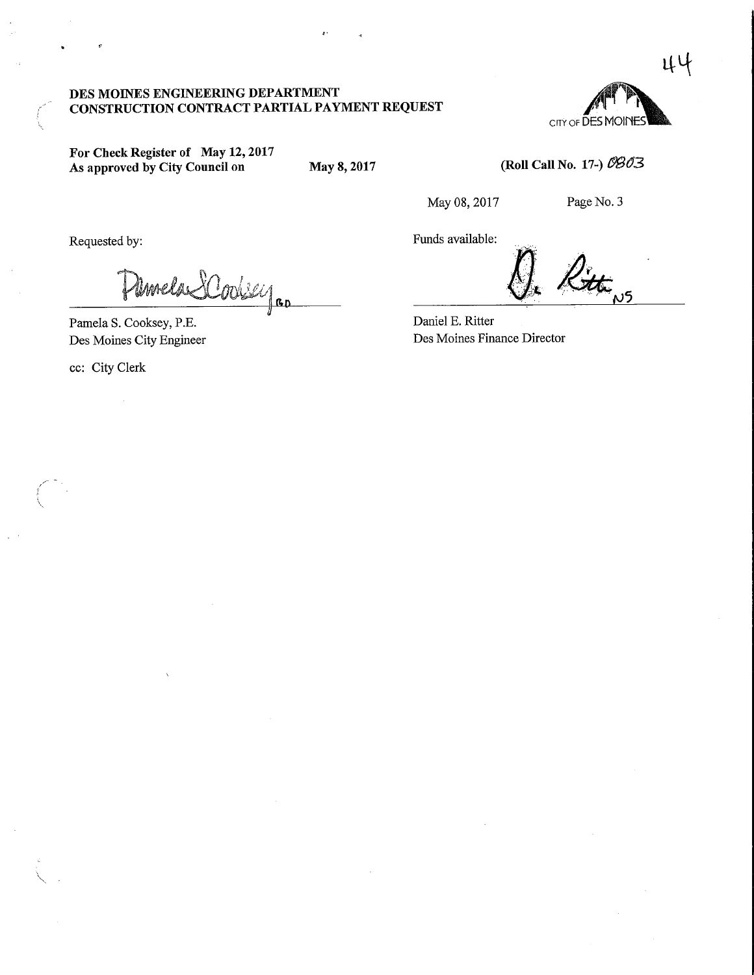### DES MOINES ENGINEERING DEPARTMENT CONSTRUCTION CONTRACT PARTIAL PAYMENT REQUEST

CITY OF DES MOINES

For Check Register of May 12,2017 As approved by City Council on May 8, 2017

(Roll Call No. 17-)  $0803$ 

May 08, 2017 Page No. 3

Requested by:

Umela SCookey ..

Pamela S. Cooksey, P.E. Des Moines City Engineer

ec: City Clerk

Funds available:  $\ell$ ittings

Daniel E. Ritter Des Moines Finance Director

44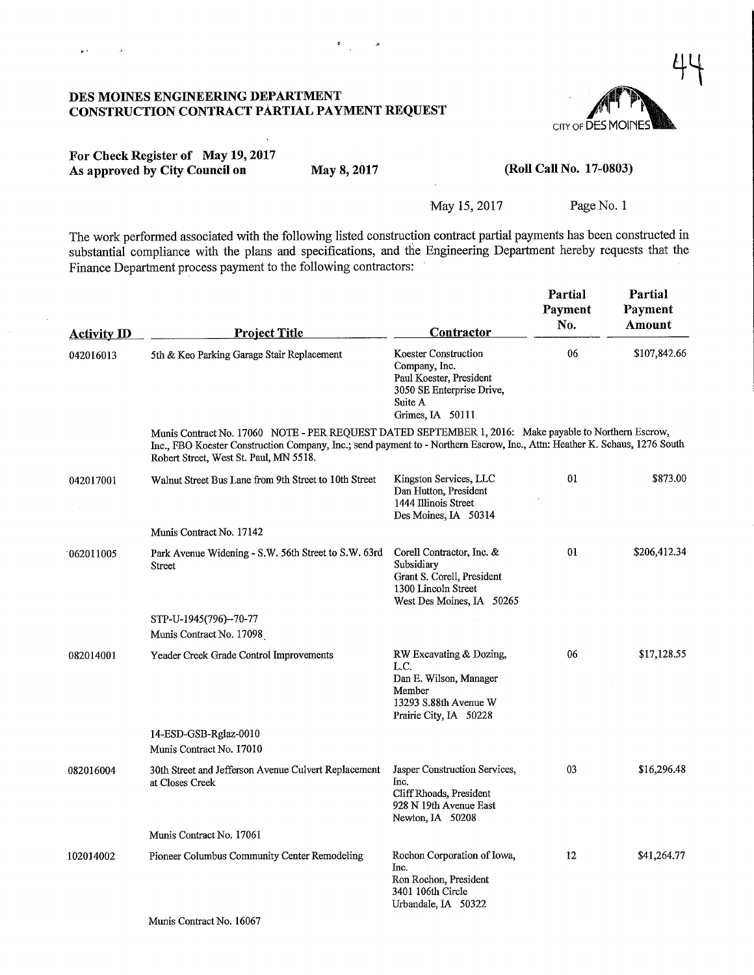# CITY OF DES MOINE  $\ddot{+}$

### DES MOINES ENGINEERING DEPARTMENT CONSTRUCTION CONTRACT PARTIAL PAYMENT REQUEST

 $\ddot{\phantom{a}}$ 

| For Check Register of May 19, 2017 |             |
|------------------------------------|-------------|
| As approved by City Council on     | May 8, 2017 |

 $\mu(\vec{r})$ 

 $\rightarrow$ 

### (Roll Call No. 17-0803)

### May 15, 2017 Page No. 1

The work performed associated with the following listed construction contract partial payments has been constructed in substantial compliance with the plans and specifications, and the Engineering Department hereby requests that the Finance Department process payment to the following contractors:

| <b>Activity ID</b> | <b>Project Title</b>                                                                                                                                                                                                                                                          | <u>Contractor</u>                                                                                                            | Partial<br>Payment<br>No. | Partial<br>Payment<br>Amount |
|--------------------|-------------------------------------------------------------------------------------------------------------------------------------------------------------------------------------------------------------------------------------------------------------------------------|------------------------------------------------------------------------------------------------------------------------------|---------------------------|------------------------------|
| 042016013          | 5th & Keo Parking Garage Stair Replacement                                                                                                                                                                                                                                    | Koester Construction<br>Company, Inc.<br>Paul Koester, President<br>3050 SE Enterprise Drive,<br>Suite A<br>Grimes, IA 50111 | 06                        | \$107,842.66                 |
|                    | Munis Contract No. 17060 NOTE - PER REQUEST DATED SEPTEMBER 1, 2016: Make payable to Northern Escrow,<br>Inc., FBO Koester Construction Company, Inc.; send payment to - Northern Escrow, Inc., Attn: Heather K. Schaus, 1276 South<br>Robert Street, West St. Paul, MN 5518. |                                                                                                                              |                           |                              |
| 042017001          | Walnut Street Bus Lane from 9th Street to 10th Street                                                                                                                                                                                                                         | Kingston Services, LLC<br>Dan Hutton, President<br>1444 Illinois Street<br>Des Moines, IA 50314                              | 01                        | \$873.00                     |
|                    | Munis Contract No. 17142                                                                                                                                                                                                                                                      |                                                                                                                              |                           |                              |
| 062011005          | Park Avenue Widening - S.W. 56th Street to S.W. 63rd<br>Street                                                                                                                                                                                                                | Corell Contractor, Inc. &<br>Subsidiary<br>Grant S. Corell, President<br>1300 Lincoln Street<br>West Des Moines, IA 50265    | 01                        | \$206,412.34                 |
|                    | STP-U-1945(796)--70-77                                                                                                                                                                                                                                                        |                                                                                                                              |                           |                              |
|                    | Munis Contract No. 17098                                                                                                                                                                                                                                                      |                                                                                                                              |                           |                              |
| 082014001          | Yeader Creek Grade Control Improvements                                                                                                                                                                                                                                       | RW Excavating & Dozing,<br>L.C.<br>Dan E. Wilson, Manager<br>Member<br>13293 S.88th Avenue W<br>Prairie City, IA 50228       | 06                        | \$17,128.55                  |
|                    | 14-ESD-GSB-Rglaz-0010<br>Munis Contract No. 17010                                                                                                                                                                                                                             |                                                                                                                              |                           |                              |
| 082016004          | 30th Street and Jefferson Avenue Culvert Replacement<br>at Closes Creek                                                                                                                                                                                                       | Jasper Construction Services,<br>Inc.<br>Cliff Rhoads, President<br>928 N 19th Avenue East<br>Newton, IA 50208               | 03                        | \$16,296.48                  |
|                    | Munis Contract No. 17061                                                                                                                                                                                                                                                      |                                                                                                                              |                           |                              |
| 102014002          | Pioneer Columbus Community Center Remodeling                                                                                                                                                                                                                                  | Rochon Corporation of Iowa,<br>Inc.<br>Ron Rochon, President<br>3401 106th Circle<br>Urbandale, IA 50322                     | 12                        | \$41,264.77                  |
|                    | Munis Contract No. 16067                                                                                                                                                                                                                                                      |                                                                                                                              |                           |                              |